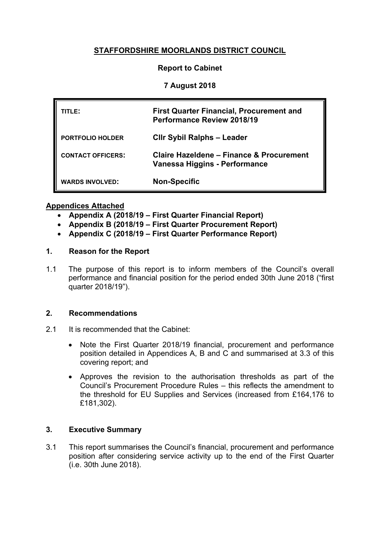# **STAFFORDSHIRE MOORLANDS DISTRICT COUNCIL**

## **Report to Cabinet**

## **7 August 2018**

| TITLE:                   | <b>First Quarter Financial, Procurement and</b><br><b>Performance Review 2018/19</b> |
|--------------------------|--------------------------------------------------------------------------------------|
| <b>PORTFOLIO HOLDER</b>  | <b>Clir Sybil Ralphs - Leader</b>                                                    |
| <b>CONTACT OFFICERS:</b> | Claire Hazeldene – Finance & Procurement<br>Vanessa Higgins - Performance            |
| <b>WARDS INVOLVED:</b>   | <b>Non-Specific</b>                                                                  |

### **Appendices Attached**

- **Appendix A (2018/19 – First Quarter Financial Report)**
- **Appendix B (2018/19 – First Quarter Procurement Report)**
- **Appendix C (2018/19 – First Quarter Performance Report)**

## **1. Reason for the Report**

1.1 The purpose of this report is to inform members of the Council's overall performance and financial position for the period ended 30th June 2018 ("first quarter 2018/19").

### **2. Recommendations**

- 2.1 It is recommended that the Cabinet:
	- Note the First Quarter 2018/19 financial, procurement and performance position detailed in Appendices A, B and C and summarised at 3.3 of this covering report; and
	- Approves the revision to the authorisation thresholds as part of the Council's Procurement Procedure Rules – this reflects the amendment to the threshold for EU Supplies and Services (increased from £164,176 to £181,302).

# **3. Executive Summary**

3.1 This report summarises the Council's financial, procurement and performance position after considering service activity up to the end of the First Quarter (i.e. 30th June 2018).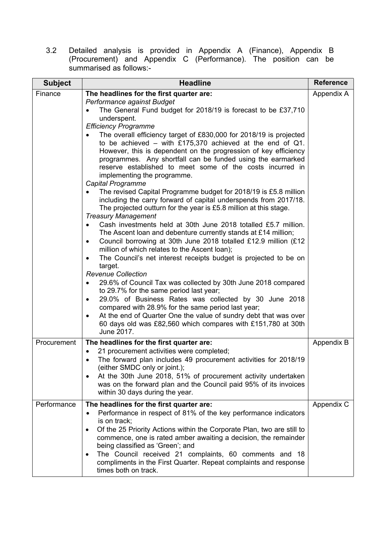3.2 Detailed analysis is provided in Appendix A (Finance), Appendix B (Procurement) and Appendix C (Performance). The position can be summarised as follows:-

| <b>Subject</b> | <b>Headline</b>                                                                                                                                                                                                                                                                                                                                                                                                                                                                                                                                                                                                                                                                                                                                                                                                                                                                                                                                                                                                                                                                                                                                                                                                                                                                                                                                                                                                                                                                                                                                                                                           | <b>Reference</b> |
|----------------|-----------------------------------------------------------------------------------------------------------------------------------------------------------------------------------------------------------------------------------------------------------------------------------------------------------------------------------------------------------------------------------------------------------------------------------------------------------------------------------------------------------------------------------------------------------------------------------------------------------------------------------------------------------------------------------------------------------------------------------------------------------------------------------------------------------------------------------------------------------------------------------------------------------------------------------------------------------------------------------------------------------------------------------------------------------------------------------------------------------------------------------------------------------------------------------------------------------------------------------------------------------------------------------------------------------------------------------------------------------------------------------------------------------------------------------------------------------------------------------------------------------------------------------------------------------------------------------------------------------|------------------|
| Finance        | The headlines for the first quarter are:<br>Performance against Budget<br>The General Fund budget for 2018/19 is forecast to be £37,710<br>underspent.<br><b>Efficiency Programme</b><br>The overall efficiency target of £830,000 for 2018/19 is projected<br>to be achieved – with £175,370 achieved at the end of $Q1$ .<br>However, this is dependent on the progression of key efficiency<br>programmes. Any shortfall can be funded using the earmarked<br>reserve established to meet some of the costs incurred in<br>implementing the programme.<br>Capital Programme<br>The revised Capital Programme budget for 2018/19 is £5.8 million<br>including the carry forward of capital underspends from 2017/18.<br>The projected outturn for the year is £5.8 million at this stage.<br><b>Treasury Management</b><br>Cash investments held at 30th June 2018 totalled £5.7 million.<br>The Ascent loan and debenture currently stands at £14 million;<br>Council borrowing at 30th June 2018 totalled £12.9 million (£12<br>$\bullet$<br>million of which relates to the Ascent loan);<br>The Council's net interest receipts budget is projected to be on<br>target.<br><b>Revenue Collection</b><br>29.6% of Council Tax was collected by 30th June 2018 compared<br>٠<br>to 29.7% for the same period last year;<br>29.0% of Business Rates was collected by 30 June 2018<br>$\bullet$<br>compared with 28.9% for the same period last year;<br>At the end of Quarter One the value of sundry debt that was over<br>60 days old was £82,560 which compares with £151,780 at 30th<br>June 2017. | Appendix A       |
| Procurement    | The headlines for the first quarter are:<br>21 procurement activities were completed;<br>The forward plan includes 49 procurement activities for 2018/19<br>(either SMDC only or joint.);<br>At the 30th June 2018, 51% of procurement activity undertaken<br>was on the forward plan and the Council paid 95% of its invoices<br>within 30 days during the year.                                                                                                                                                                                                                                                                                                                                                                                                                                                                                                                                                                                                                                                                                                                                                                                                                                                                                                                                                                                                                                                                                                                                                                                                                                         | Appendix B       |
| Performance    | The headlines for the first quarter are:<br>Performance in respect of 81% of the key performance indicators<br>$\bullet$<br>is on track;<br>Of the 25 Priority Actions within the Corporate Plan, two are still to<br>commence, one is rated amber awaiting a decision, the remainder<br>being classified as 'Green'; and<br>The Council received 21 complaints, 60 comments and 18<br>٠<br>compliments in the First Quarter. Repeat complaints and response<br>times both on track.                                                                                                                                                                                                                                                                                                                                                                                                                                                                                                                                                                                                                                                                                                                                                                                                                                                                                                                                                                                                                                                                                                                      | Appendix C       |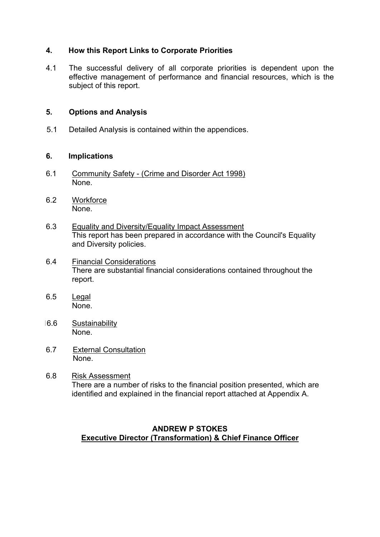## **4. How this Report Links to Corporate Priorities**

4.1 The successful delivery of all corporate priorities is dependent upon the effective management of performance and financial resources, which is the subject of this report.

## **5. Options and Analysis**

5.1 Detailed Analysis is contained within the appendices.

### **6. Implications**

- 6.1 Community Safety (Crime and Disorder Act 1998) None.
- 6.2 Workforce None.
- 6.3 Equality and Diversity/Equality Impact Assessment This report has been prepared in accordance with the Council's Equality and Diversity policies.
- 6.4 Financial Considerations There are substantial financial considerations contained throughout the report.
- 6.5 Legal None.
- 16.6 Sustainability None.
- 6.7 External Consultation None.
- 6.8 Risk Assessment There are a number of risks to the financial position presented, which are identified and explained in the financial report attached at Appendix A.

# **ANDREW P STOKES Executive Director (Transformation) & Chief Finance Officer**